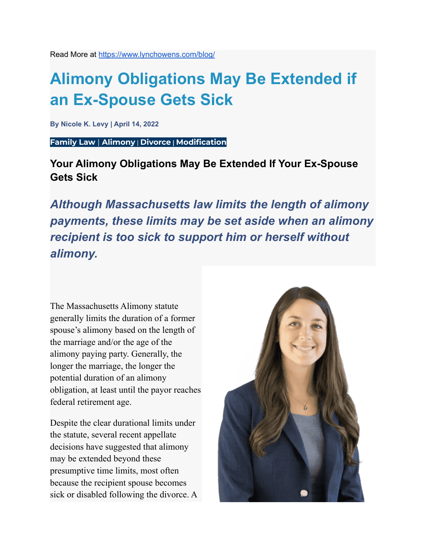Read More at <https://www.lynchowens.com/blog/>

# **Alimony Obligations May Be Extended if an Ex-Spouse Gets Sick**

**By Nicole K. Levy | April 14, 2022**

**[Family](https://www.lynchowens.com/blog/categories/family-law/) Law** | **[Alimony](https://www.lynchowens.com/blog/categories/alimony/)** | **[Divorce](https://www.lynchowens.com/blog/categories/divorce/) | [Modification](https://www.lynchowens.com/blog/categories/modification/)**

**Your Alimony Obligations May Be Extended If Your Ex-Spouse Gets Sick**

*Although Massachusetts law limits the length of alimony payments, these limits may be set aside when an alimony recipient is too sick to support him or herself without alimony.*

The Massachusetts Alimony statute generally limits the duration of a former spouse's alimony based on the length of the marriage and/or the age of the alimony paying party. Generally, the longer the marriage, the longer the potential duration of an alimony obligation, at least until the payor reaches federal retirement age.

Despite the clear durational limits under the statute, several recent appellate decisions have suggested that alimony may be extended beyond these presumptive time limits, most often because the recipient spouse becomes sick or disabled following the divorce. A

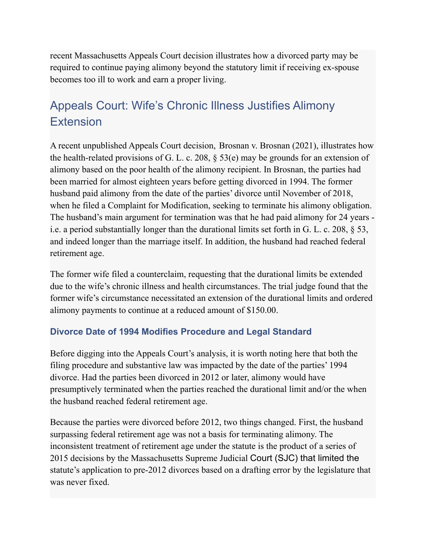recent Massachusetts Appeals Court decision illustrates how a divorced party may be required to continue paying alimony beyond the statutory limit if receiving ex-spouse becomes too ill to work and earn a proper living.

# Appeals Court: Wife's Chronic Illness Justifies Alimony Extension

A recent unpublished Appeals Court decision, Brosnan v. [Brosnan](https://scholar.google.com/scholar_case?case=2236357859695284585&q=probate+and+family&hl=en&scisbd=2&as_sdt=4,22) (2021), illustrates how the health-related provisions of G. L. c. 208, § [53\(e\)](https://malegislature.gov/Laws/GeneralLaws/PartII/TitleIII/Chapter208/Section53) may be grounds for an extension of alimony based on the poor health of the alimony recipient. In Brosnan, the parties had been married for almost eighteen years before getting divorced in 1994. The former husband paid alimony from the date of the parties' divorce until November of 2018, when he filed a Complaint for Modification, seeking to terminate his alimony obligation. The husband's main argument for termination was that he had paid alimony for 24 years i.e. a period substantially longer than the durational limits set forth in G. L. c. 208, § 53, and indeed longer than the marriage itself. In addition, the husband had reached federal retirement age.

The former wife filed a counterclaim, requesting that the durational limits be extended due to the wife's chronic illness and health circumstances. The trial judge found that the former wife's circumstance necessitated an extension of the durational limits and ordered alimony payments to continue at a reduced amount of \$150.00.

## **Divorce Date of 1994 Modifies Procedure and Legal Standard**

Before digging into the Appeals Court's analysis, it is worth noting here that both the filing procedure and substantive law was impacted by the date of the parties' 1994 divorce. Had the parties been divorced in 2012 or later, alimony would have presumptively terminated when the parties reached the durational limit and/or the when the husband reached federal retirement age.

Because the parties were divorced before 2012, two things changed. First, the husband surpassing federal retirement age was not a basis for terminating alimony. The inconsistent treatment of retirement age under the statute is the product of a series of 2015 decisions by the Massachusetts Supreme Judicial Court (SJC) that limited the statute's application to pre-2012 divorces based on a drafting error by the legislature that was never fixed.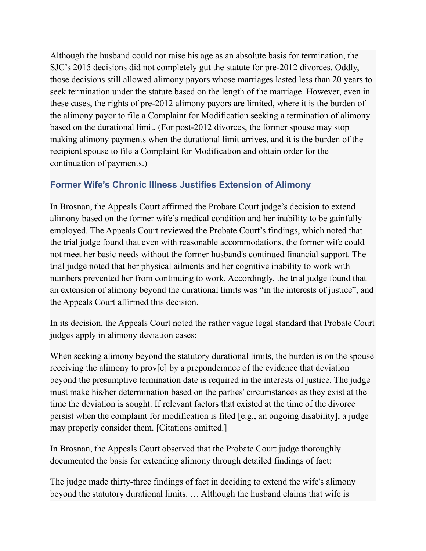Although the husband could not raise his age as an absolute basis for termination, the SJC's 2015 decisions did not completely gut the statute for pre-2012 divorces. Oddly, those decisions still allowed alimony payors whose marriages lasted less than 20 years to seek termination under the statute based on the length of the marriage. However, even in these cases, the rights of pre-2012 alimony payors are limited, where it is the burden of the alimony payor to file a Complaint for Modification seeking a termination of alimony based on the durational limit. (For post-2012 divorces, the former spouse may stop making alimony payments when the durational limit arrives, and it is the burden of the recipient spouse to file a Complaint for Modification and obtain order for the continuation of payments.)

## **Former Wife's Chronic Illness Justifies Extension of Alimony**

In Brosnan, the Appeals Court affirmed the Probate Court judge's decision to extend alimony based on the former wife's medical condition and her inability to be gainfully employed. The Appeals Court reviewed the Probate Court's findings, which noted that the trial judge found that even with reasonable accommodations, the former wife could not meet her basic needs without the former husband's continued financial support. The trial judge noted that her physical ailments and her cognitive inability to work with numbers prevented her from continuing to work. Accordingly, the trial judge found that an extension of alimony beyond the durational limits was "in the interests of justice", and the Appeals Court affirmed this decision.

In its decision, the Appeals Court noted the rather vague legal standard that Probate Court judges apply in alimony deviation cases:

When seeking alimony beyond the statutory durational limits, the burden is on the spouse receiving the alimony to prov[e] by a preponderance of the evidence that deviation beyond the presumptive termination date is required in the interests of justice. The judge must make his/her determination based on the parties' circumstances as they exist at the time the deviation is sought. If relevant factors that existed at the time of the divorce persist when the complaint for modification is filed [e.g., an ongoing disability], a judge may properly consider them. [Citations omitted.]

In Brosnan, the Appeals Court observed that the Probate Court judge thoroughly documented the basis for extending alimony through detailed findings of fact:

The judge made thirty-three findings of fact in deciding to extend the wife's alimony beyond the statutory durational limits. … Although the husband claims that wife is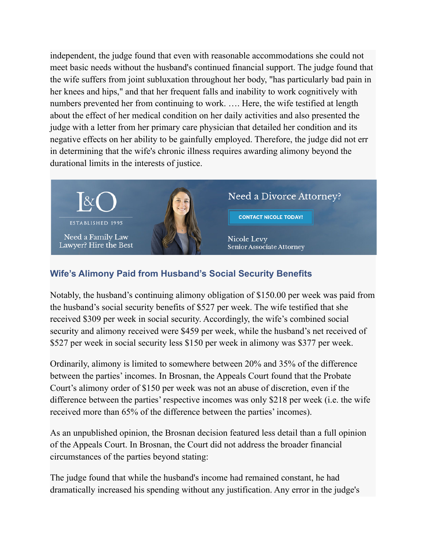independent, the judge found that even with reasonable accommodations she could not meet basic needs without the husband's continued financial support. The judge found that the wife suffers from joint subluxation throughout her body, "has particularly bad pain in her knees and hips," and that her frequent falls and inability to work cognitively with numbers prevented her from continuing to work. …. Here, the wife testified at length about the effect of her medical condition on her daily activities and also presented the judge with a letter from her primary care physician that detailed her condition and its negative effects on her ability to be gainfully employed. Therefore, the judge did not err in determining that the wife's chronic illness requires awarding alimony beyond the durational limits in the interests of justice.



## **Wife's Alimony Paid from Husband's Social Security Benefits**

Notably, the husband's continuing alimony obligation of \$150.00 per week was paid from the husband's social security benefits of \$527 per week. The wife testified that she received \$309 per week in social security. Accordingly, the wife's combined social security and alimony received were \$459 per week, while the husband's net received of \$527 per week in social security less \$150 per week in alimony was \$377 per week.

Ordinarily, alimony is limited to somewhere between 20% and 35% of the difference between the parties' incomes. In Brosnan, the Appeals Court found that the Probate Court's alimony order of \$150 per week was not an abuse of discretion, even if the difference between the parties' respective incomes was only \$218 per week (i.e. the wife received more than 65% of the difference between the parties' incomes).

As an unpublished opinion, the Brosnan decision featured less detail than a full opinion of the Appeals Court. In Brosnan, the Court did not address the broader financial circumstances of the parties beyond stating:

The judge found that while the husband's income had remained constant, he had dramatically increased his spending without any justification. Any error in the judge's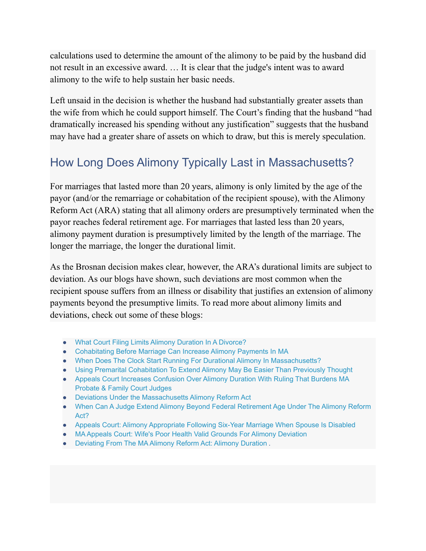calculations used to determine the amount of the alimony to be paid by the husband did not result in an excessive award. … It is clear that the judge's intent was to award alimony to the wife to help sustain her basic needs.

Left unsaid in the decision is whether the husband had substantially greater assets than the wife from which he could support himself. The Court's finding that the husband "had dramatically increased his spending without any justification" suggests that the husband may have had a greater share of assets on which to draw, but this is merely speculation.

## How Long Does Alimony Typically Last in Massachusetts?

For marriages that lasted more than 20 years, alimony is only limited by the age of the payor (and/or the remarriage or cohabitation of the recipient spouse), with the Alimony Reform Act (ARA) stating that all alimony orders are presumptively terminated [when](https://www.lynchowens.com/blog/2017/june/when-can-a-judge-extend-alimony-beyond-federal-r/) the payor reaches federal [retirement](https://www.lynchowens.com/blog/2017/june/when-can-a-judge-extend-alimony-beyond-federal-r/) age. For marriages that lasted less than 20 years, alimony payment duration is presumptively limited by the length of the marriage. The longer the marriage, the longer the durational limit.

As the Brosnan decision makes clear, however, the ARA's durational limits are subject to deviation. As our blogs have shown, such deviations are most common when the recipient spouse suffers from an illness or disability that justifies an extension of alimony payments beyond the presumptive limits. To read more about alimony limits and deviations, check out some of these blogs:

- What Court Filing Limits Alimony Duration In A [Divorce?](https://www.lynchowens.com/blog/2018/july/what-court-filing-limits-alimony-duration-in-a-d/)
- [Cohabitating](https://www.lynchowens.com/blog/2018/may/cohabitating-before-marriage-can-increase-alimon/) Before Marriage Can Increase Alimony Payments In MA
- When Does The Clock Start Running For Durational Alimony In [Massachusetts?](https://www.lynchowens.com/blog/2017/february/when-does-the-clock-start-running-for-durational/)
- Using Premarital [Cohabitation](https://www.lynchowens.com/blog/2019/april/using-premarital-cohabitation-to-extend-alimony-/) To Extend Alimony May Be Easier Than Previously Thought
- Appeals Court Increases [Confusion](https://www.lynchowens.com/blog/2018/january/appeals-court-increases-confusion-over-alimony-d/) Over Alimony Duration With Ruling That Burdens MA [Probate](https://www.lynchowens.com/blog/2018/january/appeals-court-increases-confusion-over-alimony-d/) & Family Court Judges
- Deviations Under the [Massachusetts](https://www.lynchowens.com/blog/2016/may/deviations-under-the-massachusetts-alimony-refor/) Alimony Reform Act
- When Can A Judge Extend Alimony Beyond Federal [Retirement](https://www.lynchowens.com/blog/2017/june/when-can-a-judge-extend-alimony-beyond-federal-r/) Age Under The Alimony Reform [Act?](https://www.lynchowens.com/blog/2017/june/when-can-a-judge-extend-alimony-beyond-federal-r/)
- Appeals Court: Alimony [Appropriate](https://www.lynchowens.com/blog/2018/january/appeals-court-alimony-appropriate-following-six-/) Following Six-Year Marriage When Spouse Is Disabled
- MA Appeals Court: Wife's Poor Health Valid Grounds For Alimony [Deviation](https://www.lynchowens.com/blog/2018/october/ma-appeals-court-wifes-poor-health-valid-grounds/)
- [Deviating](https://www.lynchowens.com/blog/2019/january/deviating-from-the-ma-alimony-reform-act-alimony/) From The MA Alimony Reform Act: Alimony Duration .